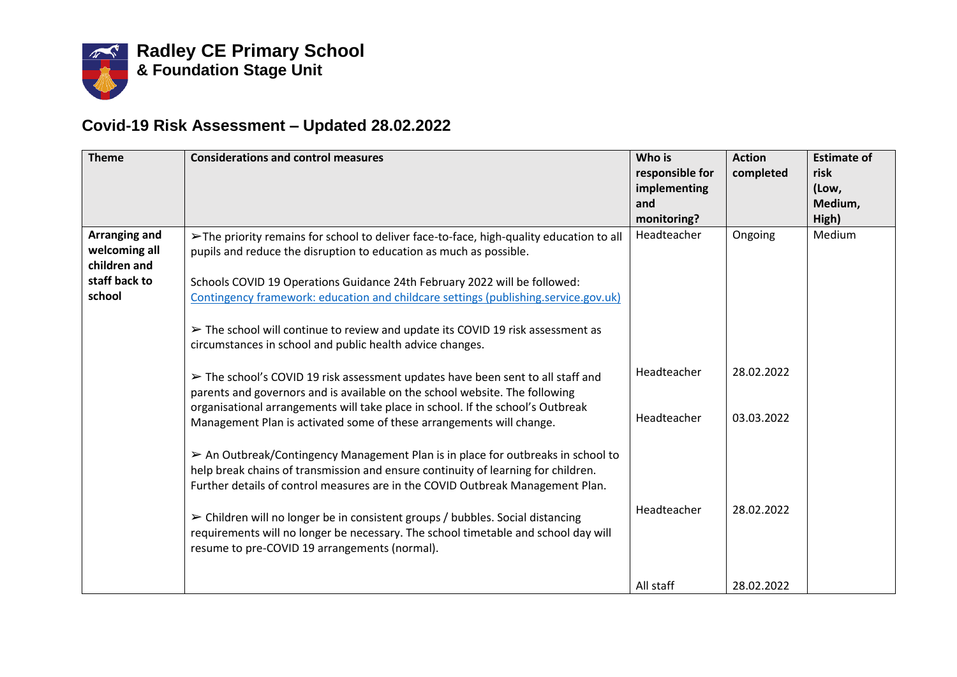

| <b>Theme</b>                                                              | <b>Considerations and control measures</b>                                                                                                                                                                                                                                                                                                                                                                                                                                       | Who is<br>responsible for<br>implementing<br>and<br>monitoring? | <b>Action</b><br>completed | <b>Estimate of</b><br>risk<br>(Low,<br>Medium,<br>High) |
|---------------------------------------------------------------------------|----------------------------------------------------------------------------------------------------------------------------------------------------------------------------------------------------------------------------------------------------------------------------------------------------------------------------------------------------------------------------------------------------------------------------------------------------------------------------------|-----------------------------------------------------------------|----------------------------|---------------------------------------------------------|
| Arranging and<br>welcoming all<br>children and<br>staff back to<br>school | > The priority remains for school to deliver face-to-face, high-quality education to all<br>pupils and reduce the disruption to education as much as possible.<br>Schools COVID 19 Operations Guidance 24th February 2022 will be followed:<br>Contingency framework: education and childcare settings (publishing.service.gov.uk)<br>The school will continue to review and update its COVID 19 risk assessment as<br>circumstances in school and public health advice changes. | Headteacher                                                     | Ongoing                    | Medium                                                  |
|                                                                           | The school's COVID 19 risk assessment updates have been sent to all staff and<br>parents and governors and is available on the school website. The following<br>organisational arrangements will take place in school. If the school's Outbreak<br>Management Plan is activated some of these arrangements will change.<br>> An Outbreak/Contingency Management Plan is in place for outbreaks in school to                                                                      | Headteacher<br>Headteacher                                      | 28.02.2022<br>03.03.2022   |                                                         |
|                                                                           | help break chains of transmission and ensure continuity of learning for children.<br>Further details of control measures are in the COVID Outbreak Management Plan.<br>> Children will no longer be in consistent groups / bubbles. Social distancing<br>requirements will no longer be necessary. The school timetable and school day will<br>resume to pre-COVID 19 arrangements (normal).                                                                                     | Headteacher                                                     | 28.02.2022                 |                                                         |
|                                                                           |                                                                                                                                                                                                                                                                                                                                                                                                                                                                                  | All staff                                                       | 28.02.2022                 |                                                         |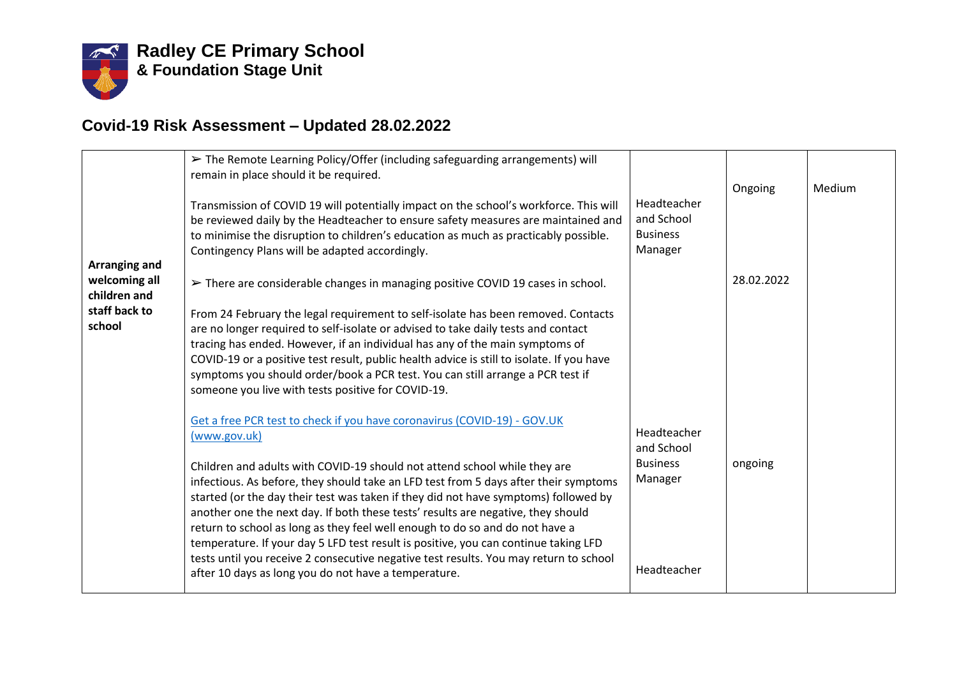

|                                                | $\triangleright$ The Remote Learning Policy/Offer (including safeguarding arrangements) will<br>remain in place should it be required.<br>Transmission of COVID 19 will potentially impact on the school's workforce. This will<br>be reviewed daily by the Headteacher to ensure safety measures are maintained and<br>to minimise the disruption to children's education as much as practicably possible.<br>Contingency Plans will be adapted accordingly.                                                                                                                                                                                                                                                                                                    | Headteacher<br>and School<br><b>Business</b><br>Manager                | Ongoing    | Medium |
|------------------------------------------------|------------------------------------------------------------------------------------------------------------------------------------------------------------------------------------------------------------------------------------------------------------------------------------------------------------------------------------------------------------------------------------------------------------------------------------------------------------------------------------------------------------------------------------------------------------------------------------------------------------------------------------------------------------------------------------------------------------------------------------------------------------------|------------------------------------------------------------------------|------------|--------|
| Arranging and<br>welcoming all<br>children and | $\triangleright$ There are considerable changes in managing positive COVID 19 cases in school.                                                                                                                                                                                                                                                                                                                                                                                                                                                                                                                                                                                                                                                                   |                                                                        | 28.02.2022 |        |
| staff back to<br>school                        | From 24 February the legal requirement to self-isolate has been removed. Contacts<br>are no longer required to self-isolate or advised to take daily tests and contact<br>tracing has ended. However, if an individual has any of the main symptoms of<br>COVID-19 or a positive test result, public health advice is still to isolate. If you have<br>symptoms you should order/book a PCR test. You can still arrange a PCR test if<br>someone you live with tests positive for COVID-19.                                                                                                                                                                                                                                                                      |                                                                        |            |        |
|                                                | Get a free PCR test to check if you have coronavirus (COVID-19) - GOV.UK<br>(www.gov.uk)<br>Children and adults with COVID-19 should not attend school while they are<br>infectious. As before, they should take an LFD test from 5 days after their symptoms<br>started (or the day their test was taken if they did not have symptoms) followed by<br>another one the next day. If both these tests' results are negative, they should<br>return to school as long as they feel well enough to do so and do not have a<br>temperature. If your day 5 LFD test result is positive, you can continue taking LFD<br>tests until you receive 2 consecutive negative test results. You may return to school<br>after 10 days as long you do not have a temperature. | Headteacher<br>and School<br><b>Business</b><br>Manager<br>Headteacher | ongoing    |        |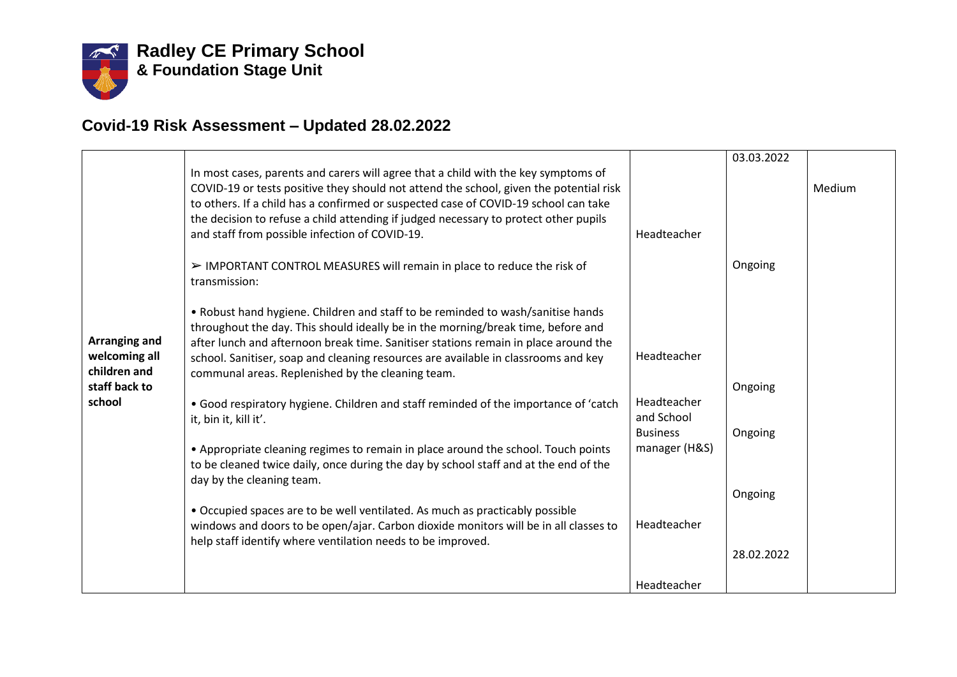

**Radley CE Primary School & Foundation Stage Unit**

|                                                |                                                                                                                                                                                                                                                                                                                                                                                                               |                                  | 03.03.2022 |        |
|------------------------------------------------|---------------------------------------------------------------------------------------------------------------------------------------------------------------------------------------------------------------------------------------------------------------------------------------------------------------------------------------------------------------------------------------------------------------|----------------------------------|------------|--------|
|                                                | In most cases, parents and carers will agree that a child with the key symptoms of<br>COVID-19 or tests positive they should not attend the school, given the potential risk<br>to others. If a child has a confirmed or suspected case of COVID-19 school can take<br>the decision to refuse a child attending if judged necessary to protect other pupils<br>and staff from possible infection of COVID-19. | Headteacher                      |            | Medium |
|                                                | $\triangleright$ IMPORTANT CONTROL MEASURES will remain in place to reduce the risk of<br>transmission:                                                                                                                                                                                                                                                                                                       |                                  | Ongoing    |        |
| Arranging and<br>welcoming all<br>children and | . Robust hand hygiene. Children and staff to be reminded to wash/sanitise hands<br>throughout the day. This should ideally be in the morning/break time, before and<br>after lunch and afternoon break time. Sanitiser stations remain in place around the<br>school. Sanitiser, soap and cleaning resources are available in classrooms and key<br>communal areas. Replenished by the cleaning team.         | Headteacher                      |            |        |
| staff back to                                  |                                                                                                                                                                                                                                                                                                                                                                                                               |                                  | Ongoing    |        |
| school                                         | • Good respiratory hygiene. Children and staff reminded of the importance of 'catch<br>it, bin it, kill it'.                                                                                                                                                                                                                                                                                                  | Headteacher<br>and School        |            |        |
|                                                | • Appropriate cleaning regimes to remain in place around the school. Touch points<br>to be cleaned twice daily, once during the day by school staff and at the end of the<br>day by the cleaning team.                                                                                                                                                                                                        | <b>Business</b><br>manager (H&S) | Ongoing    |        |
|                                                |                                                                                                                                                                                                                                                                                                                                                                                                               |                                  | Ongoing    |        |
|                                                | • Occupied spaces are to be well ventilated. As much as practicably possible<br>windows and doors to be open/ajar. Carbon dioxide monitors will be in all classes to<br>help staff identify where ventilation needs to be improved.                                                                                                                                                                           | Headteacher                      |            |        |
|                                                |                                                                                                                                                                                                                                                                                                                                                                                                               |                                  | 28.02.2022 |        |
|                                                |                                                                                                                                                                                                                                                                                                                                                                                                               | Headteacher                      |            |        |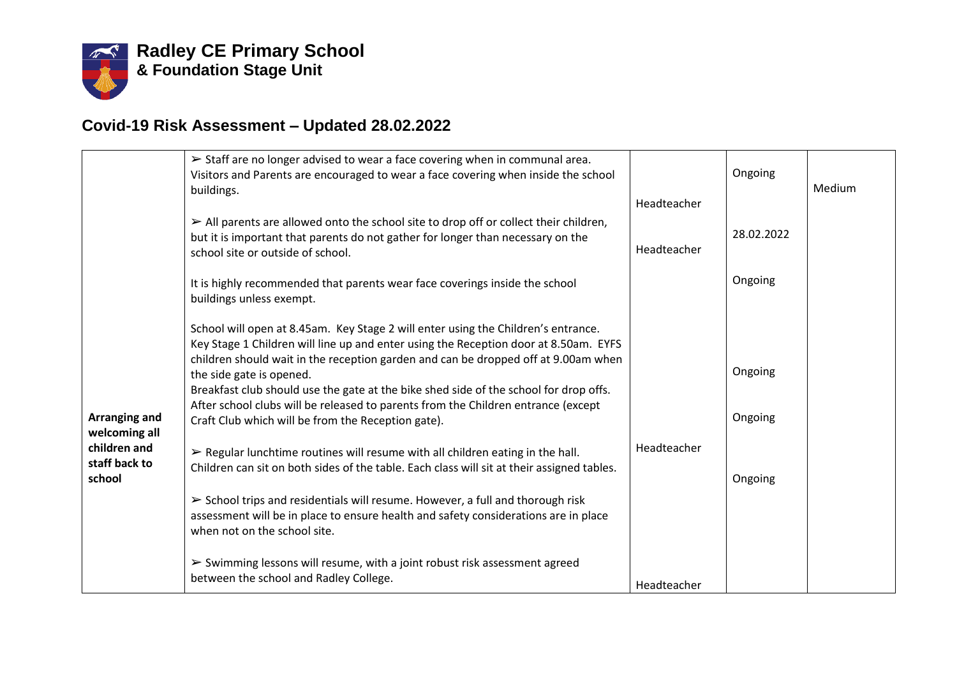

|                                                | $\triangleright$ Staff are no longer advised to wear a face covering when in communal area.<br>Visitors and Parents are encouraged to wear a face covering when inside the school<br>buildings.                                                                                                                                                                                                                                                                                                                                                                                                                                  | Headteacher | Ongoing            | Medium |
|------------------------------------------------|----------------------------------------------------------------------------------------------------------------------------------------------------------------------------------------------------------------------------------------------------------------------------------------------------------------------------------------------------------------------------------------------------------------------------------------------------------------------------------------------------------------------------------------------------------------------------------------------------------------------------------|-------------|--------------------|--------|
|                                                | $\triangleright$ All parents are allowed onto the school site to drop off or collect their children,<br>but it is important that parents do not gather for longer than necessary on the<br>school site or outside of school.                                                                                                                                                                                                                                                                                                                                                                                                     | Headteacher | 28.02.2022         |        |
|                                                | It is highly recommended that parents wear face coverings inside the school<br>buildings unless exempt.                                                                                                                                                                                                                                                                                                                                                                                                                                                                                                                          |             | Ongoing            |        |
| Arranging and<br>welcoming all<br>children and | School will open at 8.45am. Key Stage 2 will enter using the Children's entrance.<br>Key Stage 1 Children will line up and enter using the Reception door at 8.50am. EYFS<br>children should wait in the reception garden and can be dropped off at 9.00am when<br>the side gate is opened.<br>Breakfast club should use the gate at the bike shed side of the school for drop offs.<br>After school clubs will be released to parents from the Children entrance (except<br>Craft Club which will be from the Reception gate).<br>$\triangleright$ Regular lunchtime routines will resume with all children eating in the hall. | Headteacher | Ongoing<br>Ongoing |        |
| staff back to<br>school                        | Children can sit on both sides of the table. Each class will sit at their assigned tables.<br>School trips and residentials will resume. However, a full and thorough risk<br>assessment will be in place to ensure health and safety considerations are in place<br>when not on the school site.<br>$\triangleright$ Swimming lessons will resume, with a joint robust risk assessment agreed                                                                                                                                                                                                                                   |             | Ongoing            |        |
|                                                | between the school and Radley College.                                                                                                                                                                                                                                                                                                                                                                                                                                                                                                                                                                                           | Headteacher |                    |        |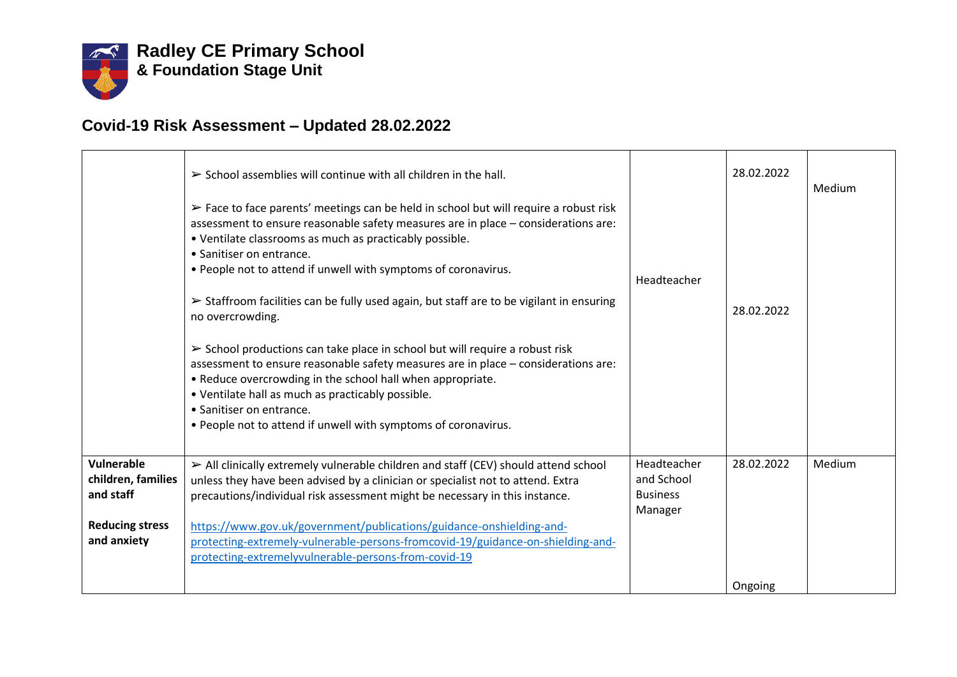

|                                                                                        | $\triangleright$ School assemblies will continue with all children in the hall.<br>> Face to face parents' meetings can be held in school but will require a robust risk<br>assessment to ensure reasonable safety measures are in place - considerations are:<br>• Ventilate classrooms as much as practicably possible.<br>• Sanitiser on entrance.<br>. People not to attend if unwell with symptoms of coronavirus.<br>$\triangleright$ Staffroom facilities can be fully used again, but staff are to be vigilant in ensuring<br>no overcrowding.<br>$\triangleright$ School productions can take place in school but will require a robust risk<br>assessment to ensure reasonable safety measures are in place - considerations are:<br>• Reduce overcrowding in the school hall when appropriate.<br>• Ventilate hall as much as practicably possible.<br>• Sanitiser on entrance.<br>• People not to attend if unwell with symptoms of coronavirus. | Headteacher                                             | 28.02.2022<br>28.02.2022 | Medium |
|----------------------------------------------------------------------------------------|--------------------------------------------------------------------------------------------------------------------------------------------------------------------------------------------------------------------------------------------------------------------------------------------------------------------------------------------------------------------------------------------------------------------------------------------------------------------------------------------------------------------------------------------------------------------------------------------------------------------------------------------------------------------------------------------------------------------------------------------------------------------------------------------------------------------------------------------------------------------------------------------------------------------------------------------------------------|---------------------------------------------------------|--------------------------|--------|
| Vulnerable<br>children, families<br>and staff<br><b>Reducing stress</b><br>and anxiety | $\triangleright$ All clinically extremely vulnerable children and staff (CEV) should attend school<br>unless they have been advised by a clinician or specialist not to attend. Extra<br>precautions/individual risk assessment might be necessary in this instance.<br>https://www.gov.uk/government/publications/guidance-onshielding-and-<br>protecting-extremely-vulnerable-persons-fromcovid-19/guidance-on-shielding-and-<br>protecting-extremelyvulnerable-persons-from-covid-19                                                                                                                                                                                                                                                                                                                                                                                                                                                                      | Headteacher<br>and School<br><b>Business</b><br>Manager | 28.02.2022<br>Ongoing    | Medium |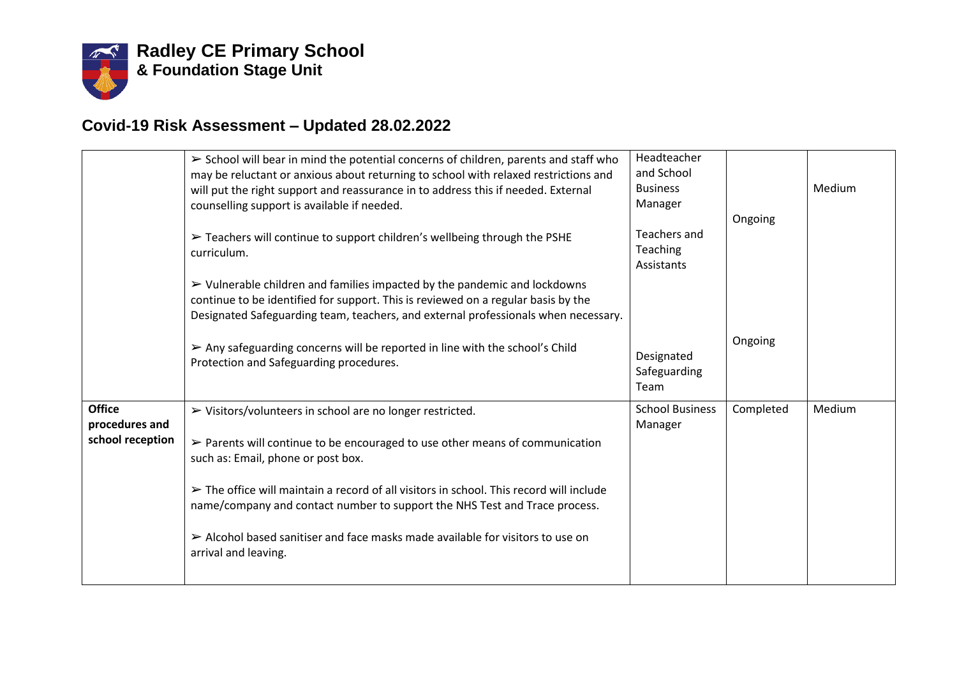

|                                 | $\triangleright$ School will bear in mind the potential concerns of children, parents and staff who<br>may be reluctant or anxious about returning to school with relaxed restrictions and<br>will put the right support and reassurance in to address this if needed. External<br>counselling support is available if needed. | Headteacher<br>and School<br><b>Business</b><br>Manager | Ongoing   | Medium |
|---------------------------------|--------------------------------------------------------------------------------------------------------------------------------------------------------------------------------------------------------------------------------------------------------------------------------------------------------------------------------|---------------------------------------------------------|-----------|--------|
|                                 | Teachers will continue to support children's wellbeing through the PSHE<br>curriculum.                                                                                                                                                                                                                                         | Teachers and<br>Teaching<br>Assistants                  |           |        |
|                                 | $\triangleright$ Vulnerable children and families impacted by the pandemic and lockdowns<br>continue to be identified for support. This is reviewed on a regular basis by the<br>Designated Safeguarding team, teachers, and external professionals when necessary.                                                            |                                                         |           |        |
|                                 | $\triangleright$ Any safeguarding concerns will be reported in line with the school's Child<br>Protection and Safeguarding procedures.                                                                                                                                                                                         | Designated<br>Safeguarding<br>Team                      | Ongoing   |        |
| <b>Office</b><br>procedures and | > Visitors/volunteers in school are no longer restricted.                                                                                                                                                                                                                                                                      | <b>School Business</b><br>Manager                       | Completed | Medium |
| school reception                | $\triangleright$ Parents will continue to be encouraged to use other means of communication<br>such as: Email, phone or post box.                                                                                                                                                                                              |                                                         |           |        |
|                                 | $\triangleright$ The office will maintain a record of all visitors in school. This record will include<br>name/company and contact number to support the NHS Test and Trace process.                                                                                                                                           |                                                         |           |        |
|                                 | $\triangleright$ Alcohol based sanitiser and face masks made available for visitors to use on<br>arrival and leaving.                                                                                                                                                                                                          |                                                         |           |        |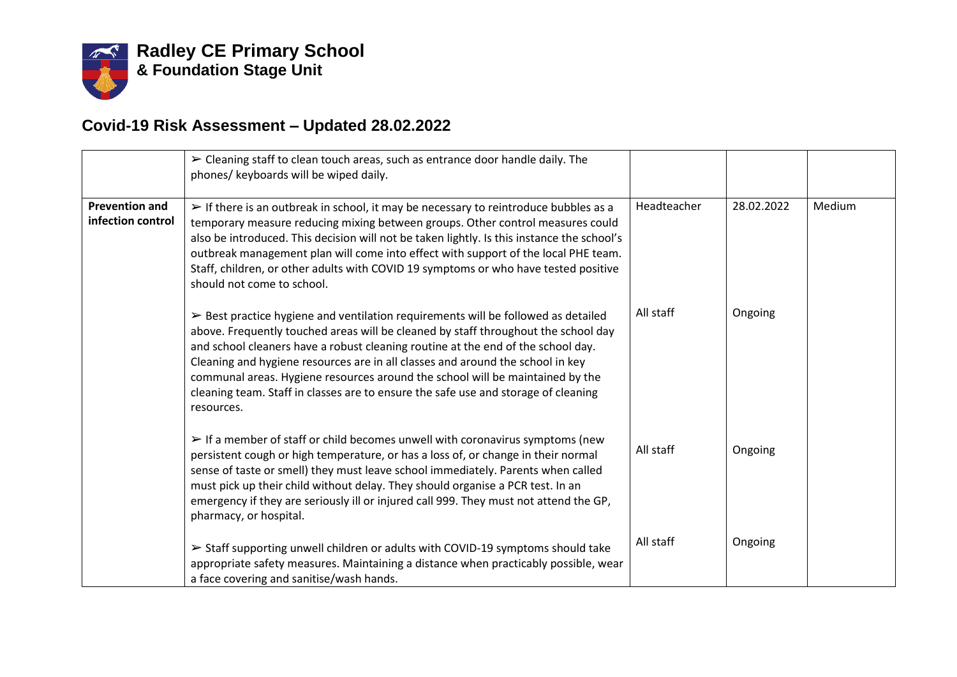

|                                            | > Cleaning staff to clean touch areas, such as entrance door handle daily. The<br>phones/ keyboards will be wiped daily.                                                                                                                                                                                                                                                                                                                                                                                                                          |             |            |        |
|--------------------------------------------|---------------------------------------------------------------------------------------------------------------------------------------------------------------------------------------------------------------------------------------------------------------------------------------------------------------------------------------------------------------------------------------------------------------------------------------------------------------------------------------------------------------------------------------------------|-------------|------------|--------|
| <b>Prevention and</b><br>infection control | $\triangleright$ If there is an outbreak in school, it may be necessary to reintroduce bubbles as a<br>temporary measure reducing mixing between groups. Other control measures could<br>also be introduced. This decision will not be taken lightly. Is this instance the school's<br>outbreak management plan will come into effect with support of the local PHE team.<br>Staff, children, or other adults with COVID 19 symptoms or who have tested positive<br>should not come to school.                                                    | Headteacher | 28.02.2022 | Medium |
|                                            | $\triangleright$ Best practice hygiene and ventilation requirements will be followed as detailed<br>above. Frequently touched areas will be cleaned by staff throughout the school day<br>and school cleaners have a robust cleaning routine at the end of the school day.<br>Cleaning and hygiene resources are in all classes and around the school in key<br>communal areas. Hygiene resources around the school will be maintained by the<br>cleaning team. Staff in classes are to ensure the safe use and storage of cleaning<br>resources. | All staff   | Ongoing    |        |
|                                            | $\triangleright$ If a member of staff or child becomes unwell with coronavirus symptoms (new<br>persistent cough or high temperature, or has a loss of, or change in their normal<br>sense of taste or smell) they must leave school immediately. Parents when called<br>must pick up their child without delay. They should organise a PCR test. In an<br>emergency if they are seriously ill or injured call 999. They must not attend the GP,<br>pharmacy, or hospital.                                                                        | All staff   | Ongoing    |        |
|                                            | Staff supporting unwell children or adults with COVID-19 symptoms should take<br>appropriate safety measures. Maintaining a distance when practicably possible, wear<br>a face covering and sanitise/wash hands.                                                                                                                                                                                                                                                                                                                                  | All staff   | Ongoing    |        |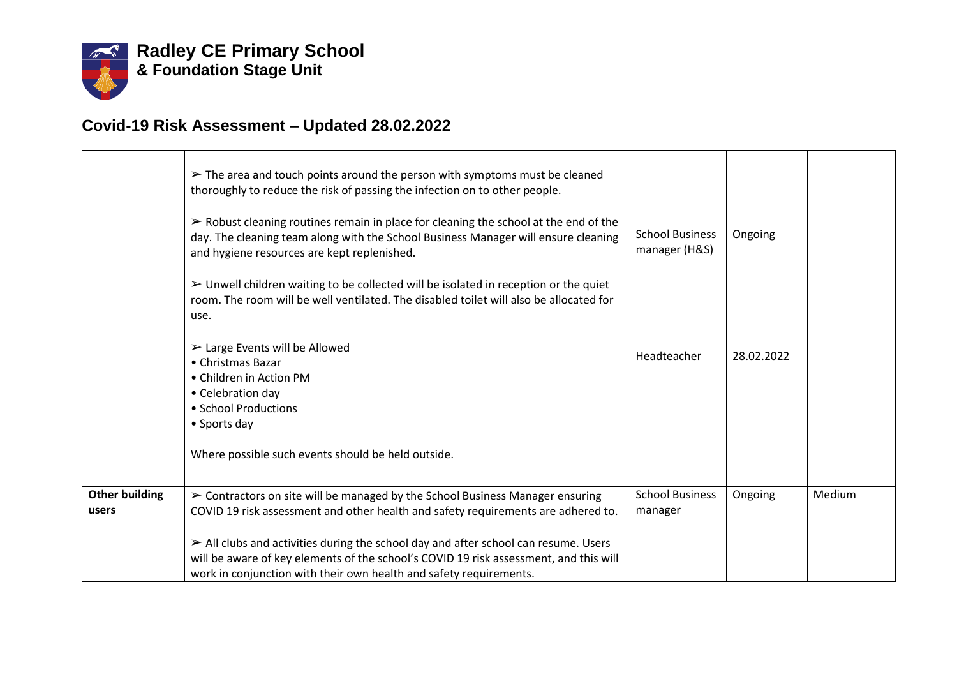

|                                | $\triangleright$ The area and touch points around the person with symptoms must be cleaned<br>thoroughly to reduce the risk of passing the infection on to other people.<br>$\triangleright$ Robust cleaning routines remain in place for cleaning the school at the end of the<br>day. The cleaning team along with the School Business Manager will ensure cleaning<br>and hygiene resources are kept replenished.<br>$\triangleright$ Unwell children waiting to be collected will be isolated in reception or the quiet<br>room. The room will be well ventilated. The disabled toilet will also be allocated for<br>use. | <b>School Business</b><br>manager (H&S) | Ongoing    |        |
|--------------------------------|-------------------------------------------------------------------------------------------------------------------------------------------------------------------------------------------------------------------------------------------------------------------------------------------------------------------------------------------------------------------------------------------------------------------------------------------------------------------------------------------------------------------------------------------------------------------------------------------------------------------------------|-----------------------------------------|------------|--------|
|                                | $\triangleright$ Large Events will be Allowed<br>• Christmas Bazar<br>• Children in Action PM<br>• Celebration day<br>• School Productions<br>• Sports day<br>Where possible such events should be held outside.                                                                                                                                                                                                                                                                                                                                                                                                              | Headteacher                             | 28.02.2022 |        |
| <b>Other building</b><br>users | > Contractors on site will be managed by the School Business Manager ensuring<br>COVID 19 risk assessment and other health and safety requirements are adhered to.<br>$\triangleright$ All clubs and activities during the school day and after school can resume. Users<br>will be aware of key elements of the school's COVID 19 risk assessment, and this will<br>work in conjunction with their own health and safety requirements.                                                                                                                                                                                       | <b>School Business</b><br>manager       | Ongoing    | Medium |